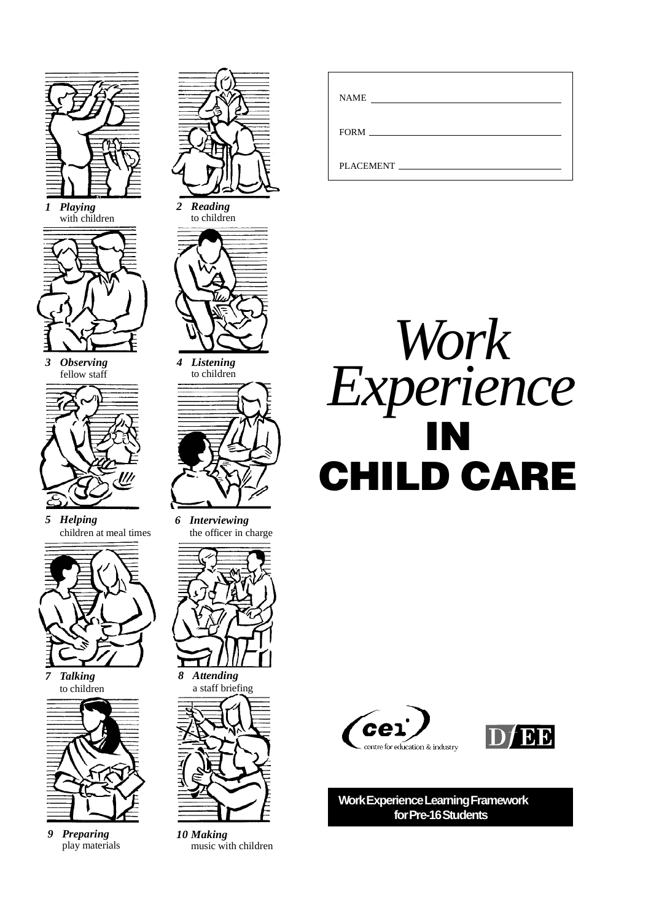

*9 Preparing* play materials



*6 Interviewing* the officer in charge



*8 Attending* a staff briefing



*10 Making* music with children

| <b>NAME</b><br><u> 1980 - Jan Samuel Barbara, martin a shekara 1980 - An tsara 1980 - An tsara 1980 - An tsara 1980 - An tsara 1</u> |
|--------------------------------------------------------------------------------------------------------------------------------------|
|                                                                                                                                      |
| PLACEMENT                                                                                                                            |







**Work Experience Learning Framework for Pre-16 Students**